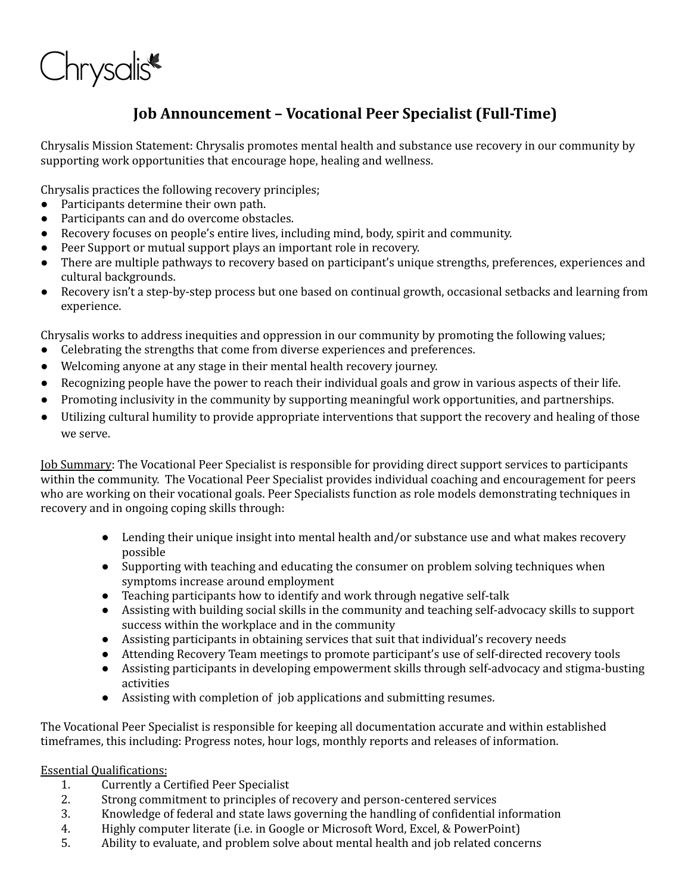

## **Job Announcement – Vocational Peer Specialist (Full-Time)**

Chrysalis Mission Statement: Chrysalis promotes mental health and substance use recovery in our community by supporting work opportunities that encourage hope, healing and wellness.

Chrysalis practices the following recovery principles;

- Participants determine their own path.
- Participants can and do overcome obstacles.
- Recovery focuses on people's entire lives, including mind, body, spirit and community.
- Peer Support or mutual support plays an important role in recovery.
- There are multiple pathways to recovery based on participant's unique strengths, preferences, experiences and cultural backgrounds.
- Recovery isn't a step-by-step process but one based on continual growth, occasional setbacks and learning from experience.

Chrysalis works to address inequities and oppression in our community by promoting the following values;

- Celebrating the strengths that come from diverse experiences and preferences.
- Welcoming anyone at any stage in their mental health recovery journey.
- Recognizing people have the power to reach their individual goals and grow in various aspects of their life.
- Promoting inclusivity in the community by supporting meaningful work opportunities, and partnerships.
- Utilizing cultural humility to provide appropriate interventions that support the recovery and healing of those we serve.

Job Summary: The Vocational Peer Specialist is responsible for providing direct support services to participants within the community. The Vocational Peer Specialist provides individual coaching and encouragement for peers who are working on their vocational goals. Peer Specialists function as role models demonstrating techniques in recovery and in ongoing coping skills through:

- Lending their unique insight into mental health and/or substance use and what makes recovery possible
- Supporting with teaching and educating the consumer on problem solving techniques when symptoms increase around employment
- Teaching participants how to identify and work through negative self-talk
- Assisting with building social skills in the community and teaching self-advocacy skills to support success within the workplace and in the community
- Assisting participants in obtaining services that suit that individual's recovery needs
- Attending Recovery Team meetings to promote participant's use of self-directed recovery tools
- Assisting participants in developing empowerment skills through self-advocacy and stigma-busting activities
- Assisting with completion of job applications and submitting resumes.

The Vocational Peer Specialist is responsible for keeping all documentation accurate and within established timeframes, this including: Progress notes, hour logs, monthly reports and releases of information.

## Essential Qualifications:

- 1. Currently a Certified Peer Specialist
- 2. Strong commitment to principles of recovery and person-centered services
- 3. Knowledge of federal and state laws governing the handling of confidential information
- 4. Highly computer literate (i.e. in Google or Microsoft Word, Excel, & PowerPoint)
- 5. Ability to evaluate, and problem solve about mental health and job related concerns